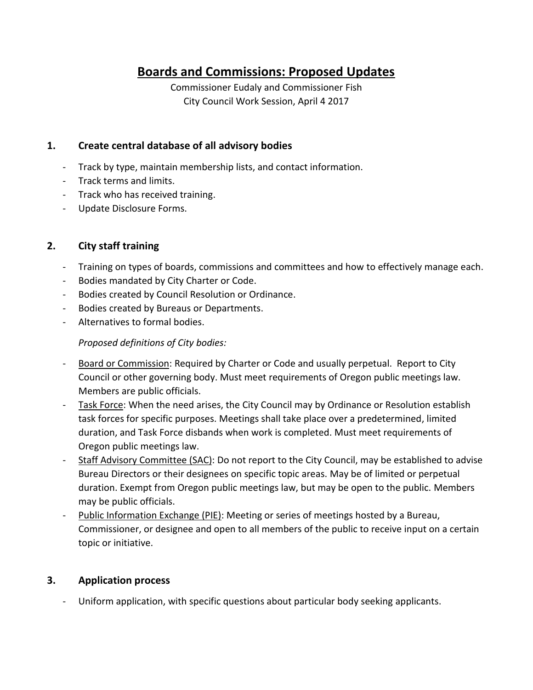# **Boards and Commissions: Proposed Updates**

Commissioner Eudaly and Commissioner Fish City Council Work Session, April 4 2017

## **1. Create central database of all advisory bodies**

- Track by type, maintain membership lists, and contact information.
- Track terms and limits.
- Track who has received training.
- Update Disclosure Forms.

## **2. City staff training**

- Training on types of boards, commissions and committees and how to effectively manage each.
- Bodies mandated by City Charter or Code.
- Bodies created by Council Resolution or Ordinance.
- Bodies created by Bureaus or Departments.
- Alternatives to formal bodies.

#### *Proposed definitions of City bodies:*

- Board or Commission: Required by Charter or Code and usually perpetual. Report to City Council or other governing body. Must meet requirements of Oregon public meetings law. Members are public officials.
- Task Force: When the need arises, the City Council may by Ordinance or Resolution establish task forces for specific purposes. Meetings shall take place over a predetermined, limited duration, and Task Force disbands when work is completed. Must meet requirements of Oregon public meetings law.
- Staff Advisory Committee (SAC): Do not report to the City Council, may be established to advise Bureau Directors or their designees on specific topic areas. May be of limited or perpetual duration. Exempt from Oregon public meetings law, but may be open to the public. Members may be public officials.
- Public Information Exchange (PIE): Meeting or series of meetings hosted by a Bureau, Commissioner, or designee and open to all members of the public to receive input on a certain topic or initiative.

## **3. Application process**

Uniform application, with specific questions about particular body seeking applicants.